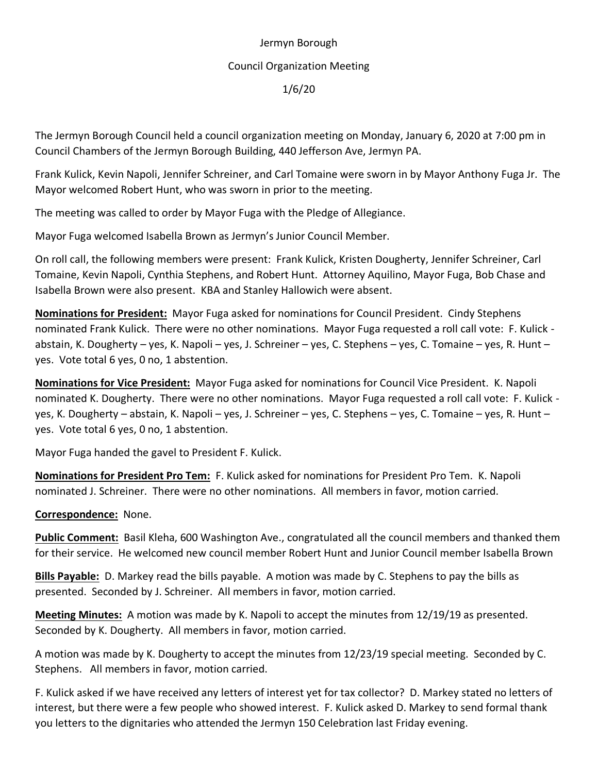## Jermyn Borough

## Council Organization Meeting

1/6/20

The Jermyn Borough Council held a council organization meeting on Monday, January 6, 2020 at 7:00 pm in Council Chambers of the Jermyn Borough Building, 440 Jefferson Ave, Jermyn PA.

Frank Kulick, Kevin Napoli, Jennifer Schreiner, and Carl Tomaine were sworn in by Mayor Anthony Fuga Jr. The Mayor welcomed Robert Hunt, who was sworn in prior to the meeting.

The meeting was called to order by Mayor Fuga with the Pledge of Allegiance.

Mayor Fuga welcomed Isabella Brown as Jermyn's Junior Council Member.

On roll call, the following members were present: Frank Kulick, Kristen Dougherty, Jennifer Schreiner, Carl Tomaine, Kevin Napoli, Cynthia Stephens, and Robert Hunt. Attorney Aquilino, Mayor Fuga, Bob Chase and Isabella Brown were also present. KBA and Stanley Hallowich were absent.

**Nominations for President:** Mayor Fuga asked for nominations for Council President. Cindy Stephens nominated Frank Kulick. There were no other nominations. Mayor Fuga requested a roll call vote: F. Kulick abstain, K. Dougherty – yes, K. Napoli – yes, J. Schreiner – yes, C. Stephens – yes, C. Tomaine – yes, R. Hunt – yes. Vote total 6 yes, 0 no, 1 abstention.

**Nominations for Vice President:** Mayor Fuga asked for nominations for Council Vice President. K. Napoli nominated K. Dougherty. There were no other nominations. Mayor Fuga requested a roll call vote: F. Kulick yes, K. Dougherty – abstain, K. Napoli – yes, J. Schreiner – yes, C. Stephens – yes, C. Tomaine – yes, R. Hunt – yes. Vote total 6 yes, 0 no, 1 abstention.

Mayor Fuga handed the gavel to President F. Kulick.

**Nominations for President Pro Tem:** F. Kulick asked for nominations for President Pro Tem. K. Napoli nominated J. Schreiner. There were no other nominations. All members in favor, motion carried.

## **Correspondence:** None.

**Public Comment:** Basil Kleha, 600 Washington Ave., congratulated all the council members and thanked them for their service. He welcomed new council member Robert Hunt and Junior Council member Isabella Brown

**Bills Payable:** D. Markey read the bills payable. A motion was made by C. Stephens to pay the bills as presented. Seconded by J. Schreiner. All members in favor, motion carried.

**Meeting Minutes:** A motion was made by K. Napoli to accept the minutes from 12/19/19 as presented. Seconded by K. Dougherty. All members in favor, motion carried.

A motion was made by K. Dougherty to accept the minutes from 12/23/19 special meeting. Seconded by C. Stephens. All members in favor, motion carried.

F. Kulick asked if we have received any letters of interest yet for tax collector? D. Markey stated no letters of interest, but there were a few people who showed interest. F. Kulick asked D. Markey to send formal thank you letters to the dignitaries who attended the Jermyn 150 Celebration last Friday evening.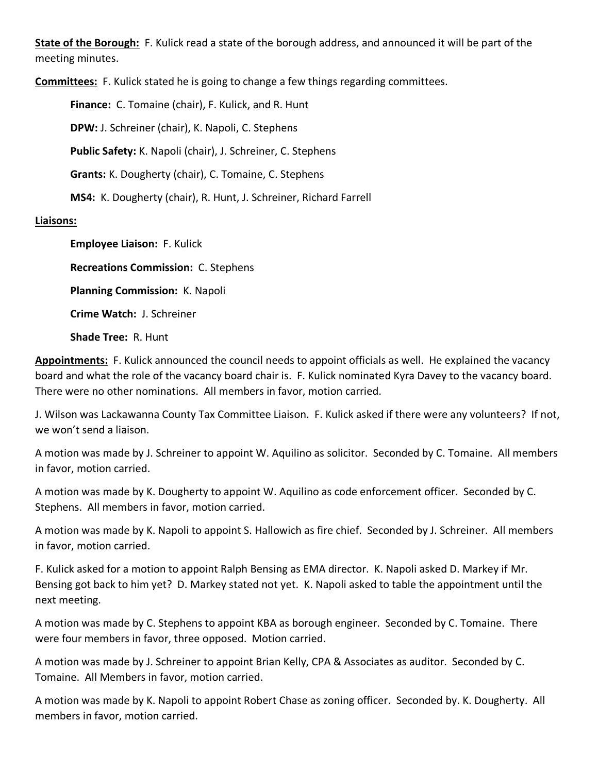**State of the Borough:** F. Kulick read a state of the borough address, and announced it will be part of the meeting minutes.

**Committees:** F. Kulick stated he is going to change a few things regarding committees.

**Finance:** C. Tomaine (chair), F. Kulick, and R. Hunt **DPW:** J. Schreiner (chair), K. Napoli, C. Stephens **Public Safety:** K. Napoli (chair), J. Schreiner, C. Stephens **Grants:** K. Dougherty (chair), C. Tomaine, C. Stephens **MS4:** K. Dougherty (chair), R. Hunt, J. Schreiner, Richard Farrell **Liaisons:**

> **Employee Liaison:** F. Kulick **Recreations Commission:** C. Stephens **Planning Commission:** K. Napoli **Crime Watch:** J. Schreiner **Shade Tree:** R. Hunt

**Appointments:** F. Kulick announced the council needs to appoint officials as well. He explained the vacancy board and what the role of the vacancy board chair is. F. Kulick nominated Kyra Davey to the vacancy board. There were no other nominations. All members in favor, motion carried.

J. Wilson was Lackawanna County Tax Committee Liaison. F. Kulick asked if there were any volunteers? If not, we won't send a liaison.

A motion was made by J. Schreiner to appoint W. Aquilino as solicitor. Seconded by C. Tomaine. All members in favor, motion carried.

A motion was made by K. Dougherty to appoint W. Aquilino as code enforcement officer. Seconded by C. Stephens. All members in favor, motion carried.

A motion was made by K. Napoli to appoint S. Hallowich as fire chief. Seconded by J. Schreiner. All members in favor, motion carried.

F. Kulick asked for a motion to appoint Ralph Bensing as EMA director. K. Napoli asked D. Markey if Mr. Bensing got back to him yet? D. Markey stated not yet. K. Napoli asked to table the appointment until the next meeting.

A motion was made by C. Stephens to appoint KBA as borough engineer. Seconded by C. Tomaine. There were four members in favor, three opposed. Motion carried.

A motion was made by J. Schreiner to appoint Brian Kelly, CPA & Associates as auditor. Seconded by C. Tomaine. All Members in favor, motion carried.

A motion was made by K. Napoli to appoint Robert Chase as zoning officer. Seconded by. K. Dougherty. All members in favor, motion carried.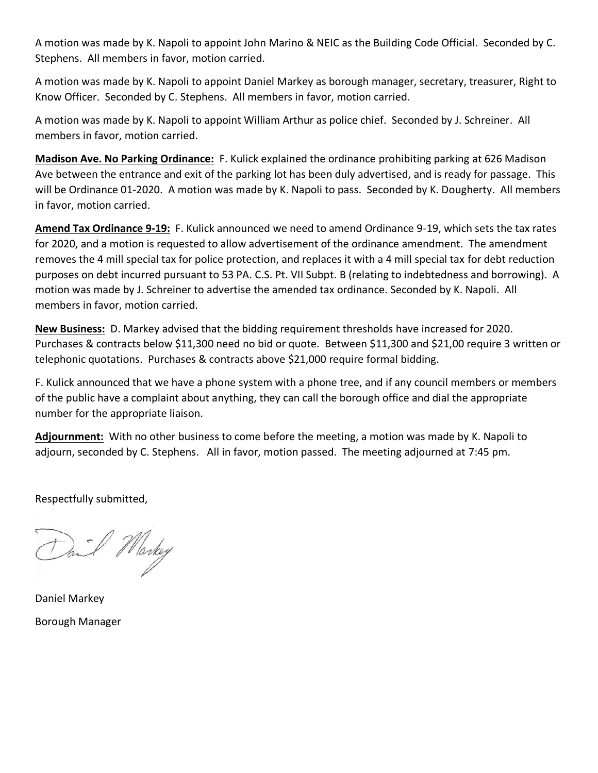A motion was made by K. Napoli to appoint John Marino & NEIC as the Building Code Official. Seconded by C. Stephens. All members in favor, motion carried.

A motion was made by K. Napoli to appoint Daniel Markey as borough manager, secretary, treasurer, Right to Know Officer. Seconded by C. Stephens. All members in favor, motion carried.

A motion was made by K. Napoli to appoint William Arthur as police chief. Seconded by J. Schreiner. All members in favor, motion carried.

**Madison Ave. No Parking Ordinance:** F. Kulick explained the ordinance prohibiting parking at 626 Madison Ave between the entrance and exit of the parking lot has been duly advertised, and is ready for passage. This will be Ordinance 01-2020. A motion was made by K. Napoli to pass. Seconded by K. Dougherty. All members in favor, motion carried.

**Amend Tax Ordinance 9-19:** F. Kulick announced we need to amend Ordinance 9-19, which sets the tax rates for 2020, and a motion is requested to allow advertisement of the ordinance amendment. The amendment removes the 4 mill special tax for police protection, and replaces it with a 4 mill special tax for debt reduction purposes on debt incurred pursuant to 53 PA. C.S. Pt. VII Subpt. B (relating to indebtedness and borrowing). A motion was made by J. Schreiner to advertise the amended tax ordinance. Seconded by K. Napoli. All members in favor, motion carried.

**New Business:** D. Markey advised that the bidding requirement thresholds have increased for 2020. Purchases & contracts below \$11,300 need no bid or quote. Between \$11,300 and \$21,00 require 3 written or telephonic quotations. Purchases & contracts above \$21,000 require formal bidding.

F. Kulick announced that we have a phone system with a phone tree, and if any council members or members of the public have a complaint about anything, they can call the borough office and dial the appropriate number for the appropriate liaison.

**Adjournment:** With no other business to come before the meeting, a motion was made by K. Napoli to adjourn, seconded by C. Stephens. All in favor, motion passed. The meeting adjourned at 7:45 pm.

Respectfully submitted,

Dail Markey

Daniel Markey Borough Manager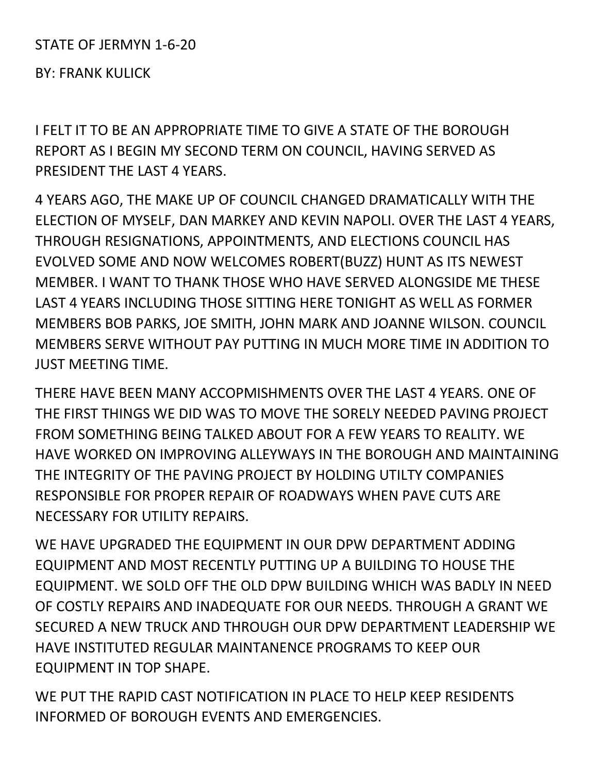## STATE OF JERMYN 1-6-20

BY: FRANK KULICK

I FELT IT TO BE AN APPROPRIATE TIME TO GIVE A STATE OF THE BOROUGH REPORT AS I BEGIN MY SECOND TERM ON COUNCIL, HAVING SERVED AS PRESIDENT THE LAST 4 YEARS.

4 YEARS AGO, THE MAKE UP OF COUNCIL CHANGED DRAMATICALLY WITH THE ELECTION OF MYSELF, DAN MARKEY AND KEVIN NAPOLI. OVER THE LAST 4 YEARS, THROUGH RESIGNATIONS, APPOINTMENTS, AND ELECTIONS COUNCIL HAS EVOLVED SOME AND NOW WELCOMES ROBERT(BUZZ) HUNT AS ITS NEWEST MEMBER. I WANT TO THANK THOSE WHO HAVE SERVED ALONGSIDE ME THESE LAST 4 YEARS INCLUDING THOSE SITTING HERE TONIGHT AS WELL AS FORMER MEMBERS BOB PARKS, JOE SMITH, JOHN MARK AND JOANNE WILSON. COUNCIL MEMBERS SERVE WITHOUT PAY PUTTING IN MUCH MORE TIME IN ADDITION TO JUST MEETING TIME.

THERE HAVE BEEN MANY ACCOPMISHMENTS OVER THE LAST 4 YEARS. ONE OF THE FIRST THINGS WE DID WAS TO MOVE THE SORELY NEEDED PAVING PROJECT FROM SOMETHING BEING TALKED ABOUT FOR A FEW YEARS TO REALITY. WE HAVE WORKED ON IMPROVING ALLEYWAYS IN THE BOROUGH AND MAINTAINING THE INTEGRITY OF THE PAVING PROJECT BY HOLDING UTILTY COMPANIES RESPONSIBLE FOR PROPER REPAIR OF ROADWAYS WHEN PAVE CUTS ARE NECESSARY FOR UTILITY REPAIRS.

WE HAVE UPGRADED THE EQUIPMENT IN OUR DPW DEPARTMENT ADDING EQUIPMENT AND MOST RECENTLY PUTTING UP A BUILDING TO HOUSE THE EQUIPMENT. WE SOLD OFF THE OLD DPW BUILDING WHICH WAS BADLY IN NEED OF COSTLY REPAIRS AND INADEQUATE FOR OUR NEEDS. THROUGH A GRANT WE SECURED A NEW TRUCK AND THROUGH OUR DPW DEPARTMENT LEADERSHIP WE HAVE INSTITUTED REGULAR MAINTANENCE PROGRAMS TO KEEP OUR EQUIPMENT IN TOP SHAPE.

WE PUT THE RAPID CAST NOTIFICATION IN PLACE TO HELP KEEP RESIDENTS INFORMED OF BOROUGH EVENTS AND EMERGENCIES.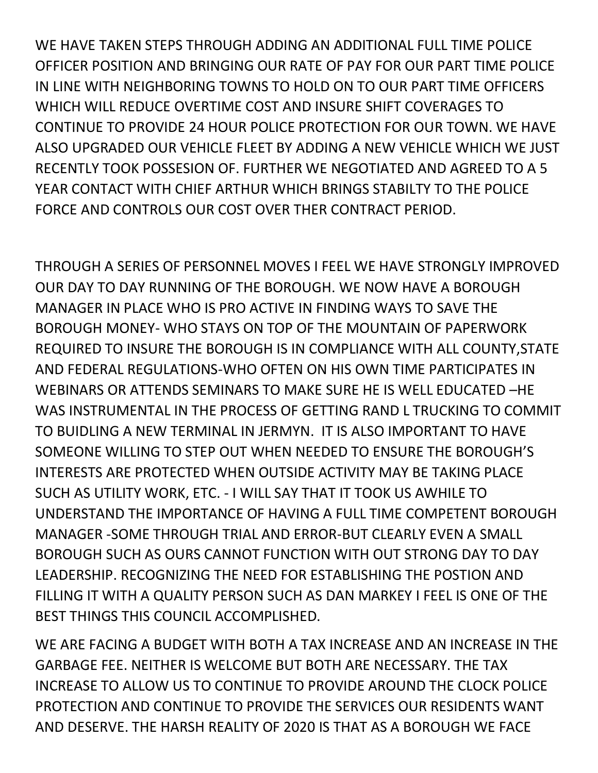WE HAVE TAKEN STEPS THROUGH ADDING AN ADDITIONAL FULL TIME POLICE OFFICER POSITION AND BRINGING OUR RATE OF PAY FOR OUR PART TIME POLICE IN LINE WITH NEIGHBORING TOWNS TO HOLD ON TO OUR PART TIME OFFICERS WHICH WILL REDUCE OVERTIME COST AND INSURE SHIFT COVERAGES TO CONTINUE TO PROVIDE 24 HOUR POLICE PROTECTION FOR OUR TOWN. WE HAVE ALSO UPGRADED OUR VEHICLE FLEET BY ADDING A NEW VEHICLE WHICH WE JUST RECENTLY TOOK POSSESION OF. FURTHER WE NEGOTIATED AND AGREED TO A 5 YEAR CONTACT WITH CHIEF ARTHUR WHICH BRINGS STABILTY TO THE POLICE FORCE AND CONTROLS OUR COST OVER THER CONTRACT PERIOD.

THROUGH A SERIES OF PERSONNEL MOVES I FEEL WE HAVE STRONGLY IMPROVED OUR DAY TO DAY RUNNING OF THE BOROUGH. WE NOW HAVE A BOROUGH MANAGER IN PLACE WHO IS PRO ACTIVE IN FINDING WAYS TO SAVE THE BOROUGH MONEY- WHO STAYS ON TOP OF THE MOUNTAIN OF PAPERWORK REQUIRED TO INSURE THE BOROUGH IS IN COMPLIANCE WITH ALL COUNTY,STATE AND FEDERAL REGULATIONS-WHO OFTEN ON HIS OWN TIME PARTICIPATES IN WEBINARS OR ATTENDS SEMINARS TO MAKE SURE HE IS WELL EDUCATED –HE WAS INSTRUMENTAL IN THE PROCESS OF GETTING RAND L TRUCKING TO COMMIT TO BUIDLING A NEW TERMINAL IN JERMYN. IT IS ALSO IMPORTANT TO HAVE SOMEONE WILLING TO STEP OUT WHEN NEEDED TO ENSURE THE BOROUGH'S INTERESTS ARE PROTECTED WHEN OUTSIDE ACTIVITY MAY BE TAKING PLACE SUCH AS UTILITY WORK, ETC. - I WILL SAY THAT IT TOOK US AWHILE TO UNDERSTAND THE IMPORTANCE OF HAVING A FULL TIME COMPETENT BOROUGH MANAGER -SOME THROUGH TRIAL AND ERROR-BUT CLEARLY EVEN A SMALL BOROUGH SUCH AS OURS CANNOT FUNCTION WITH OUT STRONG DAY TO DAY LEADERSHIP. RECOGNIZING THE NEED FOR ESTABLISHING THE POSTION AND FILLING IT WITH A QUALITY PERSON SUCH AS DAN MARKEY I FEEL IS ONE OF THE BEST THINGS THIS COUNCIL ACCOMPLISHED.

WE ARE FACING A BUDGET WITH BOTH A TAX INCREASE AND AN INCREASE IN THE GARBAGE FEE. NEITHER IS WELCOME BUT BOTH ARE NECESSARY. THE TAX INCREASE TO ALLOW US TO CONTINUE TO PROVIDE AROUND THE CLOCK POLICE PROTECTION AND CONTINUE TO PROVIDE THE SERVICES OUR RESIDENTS WANT AND DESERVE. THE HARSH REALITY OF 2020 IS THAT AS A BOROUGH WE FACE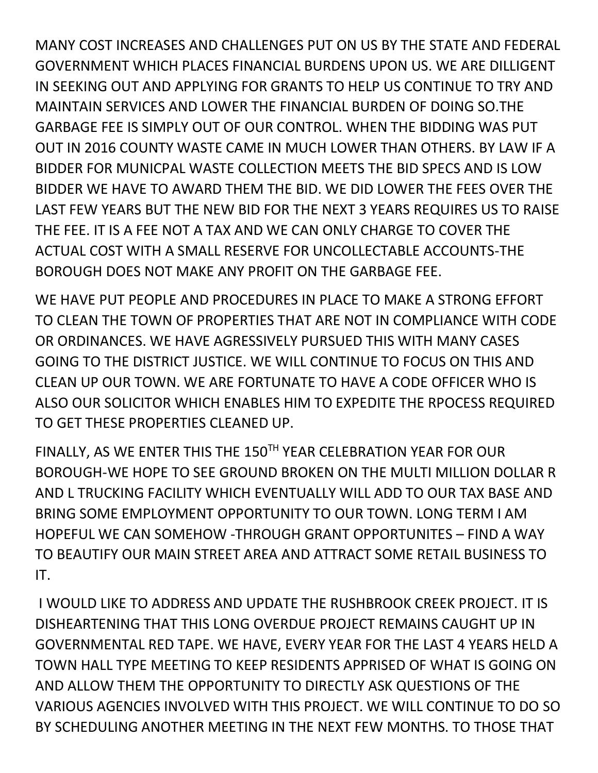MANY COST INCREASES AND CHALLENGES PUT ON US BY THE STATE AND FEDERAL GOVERNMENT WHICH PLACES FINANCIAL BURDENS UPON US. WE ARE DILLIGENT IN SEEKING OUT AND APPLYING FOR GRANTS TO HELP US CONTINUE TO TRY AND MAINTAIN SERVICES AND LOWER THE FINANCIAL BURDEN OF DOING SO.THE GARBAGE FEE IS SIMPLY OUT OF OUR CONTROL. WHEN THE BIDDING WAS PUT OUT IN 2016 COUNTY WASTE CAME IN MUCH LOWER THAN OTHERS. BY LAW IF A BIDDER FOR MUNICPAL WASTE COLLECTION MEETS THE BID SPECS AND IS LOW BIDDER WE HAVE TO AWARD THEM THE BID. WE DID LOWER THE FEES OVER THE LAST FEW YEARS BUT THE NEW BID FOR THE NEXT 3 YEARS REQUIRES US TO RAISE THE FEE. IT IS A FEE NOT A TAX AND WE CAN ONLY CHARGE TO COVER THE ACTUAL COST WITH A SMALL RESERVE FOR UNCOLLECTABLE ACCOUNTS-THE BOROUGH DOES NOT MAKE ANY PROFIT ON THE GARBAGE FEE.

WE HAVE PUT PEOPLE AND PROCEDURES IN PLACE TO MAKE A STRONG EFFORT TO CLEAN THE TOWN OF PROPERTIES THAT ARE NOT IN COMPLIANCE WITH CODE OR ORDINANCES. WE HAVE AGRESSIVELY PURSUED THIS WITH MANY CASES GOING TO THE DISTRICT JUSTICE. WE WILL CONTINUE TO FOCUS ON THIS AND CLEAN UP OUR TOWN. WE ARE FORTUNATE TO HAVE A CODE OFFICER WHO IS ALSO OUR SOLICITOR WHICH ENABLES HIM TO EXPEDITE THE RPOCESS REQUIRED TO GET THESE PROPERTIES CLEANED UP.

FINALLY, AS WE ENTER THIS THE 150TH YEAR CELEBRATION YEAR FOR OUR BOROUGH-WE HOPE TO SEE GROUND BROKEN ON THE MULTI MILLION DOLLAR R AND L TRUCKING FACILITY WHICH EVENTUALLY WILL ADD TO OUR TAX BASE AND BRING SOME EMPLOYMENT OPPORTUNITY TO OUR TOWN. LONG TERM I AM HOPEFUL WE CAN SOMEHOW -THROUGH GRANT OPPORTUNITES – FIND A WAY TO BEAUTIFY OUR MAIN STREET AREA AND ATTRACT SOME RETAIL BUSINESS TO IT.

I WOULD LIKE TO ADDRESS AND UPDATE THE RUSHBROOK CREEK PROJECT. IT IS DISHEARTENING THAT THIS LONG OVERDUE PROJECT REMAINS CAUGHT UP IN GOVERNMENTAL RED TAPE. WE HAVE, EVERY YEAR FOR THE LAST 4 YEARS HELD A TOWN HALL TYPE MEETING TO KEEP RESIDENTS APPRISED OF WHAT IS GOING ON AND ALLOW THEM THE OPPORTUNITY TO DIRECTLY ASK QUESTIONS OF THE VARIOUS AGENCIES INVOLVED WITH THIS PROJECT. WE WILL CONTINUE TO DO SO BY SCHEDULING ANOTHER MEETING IN THE NEXT FEW MONTHS. TO THOSE THAT